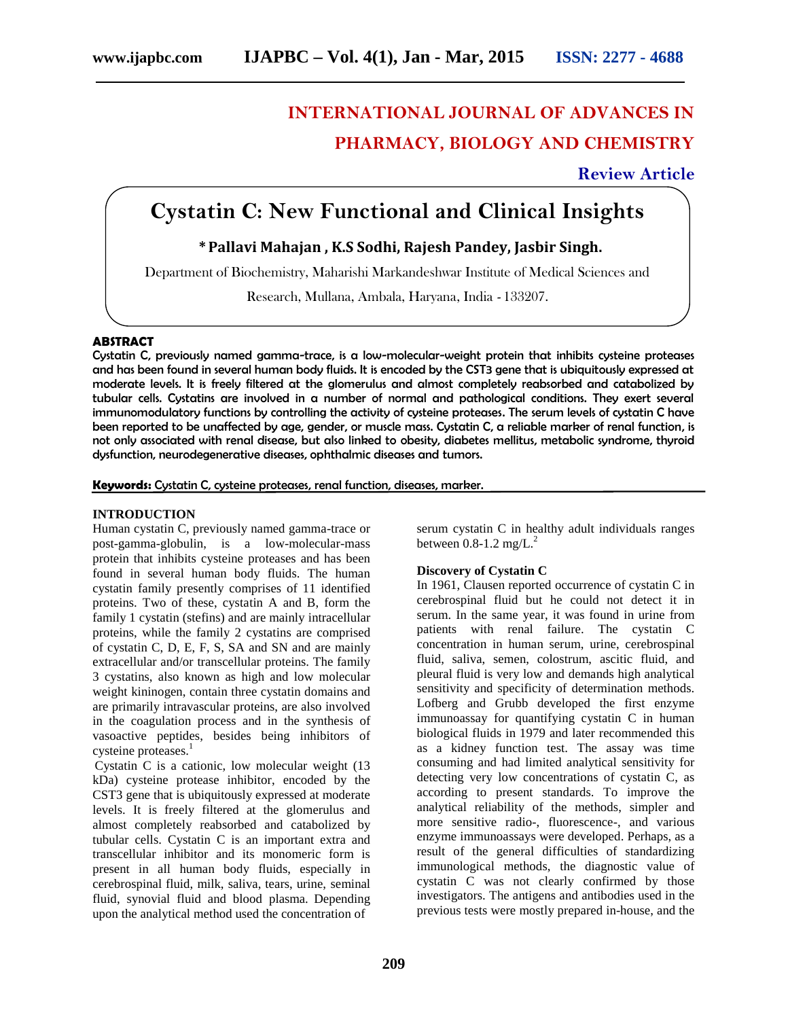# **INTERNATIONAL JOURNAL OF ADVANCES IN PHARMACY, BIOLOGY AND CHEMISTRY**

**Review Article**

# **Cystatin C: New Functional and Clinical Insights**

# **\*Pallavi Mahajan , K.S Sodhi, Rajesh Pandey, Jasbir Singh.**

Department of Biochemistry, Maharishi Markandeshwar Institute of Medical Sciences and

Research, Mullana, Ambala, Haryana, India *-* 133207.

# **ABSTRACT**

Cystatin C, previously named gamma-trace, is a low-molecular-weight protein that inhibits cysteine proteases and has been found in several human body fluids. It is encoded by the CST3 gene that is ubiquitously expressed at moderate levels. It is freely filtered at the glomerulus and almost completely reabsorbed and catabolized by tubular cells. Cystatins are involved in a number of normal and pathological conditions. They exert several immunomodulatory functions by controlling the activity of cysteine proteases. The serum levels of cystatin C have been reported to be unaffected by age, gender, or muscle mass. Cystatin C, a reliable marker of renal function, is not only associated with renal disease, but also linked to obesity, diabetes mellitus, metabolic syndrome, thyroid dysfunction, neurodegenerative diseases, ophthalmic diseases and tumors.

**Keywords:** Cystatin C, cysteine proteases, renal function, diseases, marker.

# **INTRODUCTION**

Human cystatin C, previously named gamma-trace or post-gamma-globulin, is a low-molecular-mass protein that inhibits cysteine proteases and has been found in several human body fluids. The human cystatin family presently comprises of 11 identified proteins. Two of these, cystatin A and B, form the family 1 cystatin (stefins) and are mainly intracellular proteins, while the family 2 cystatins are comprised of cystatin C, D, E, F, S, SA and SN and are mainly extracellular and/or transcellular proteins. The family 3 cystatins, also known as high and low molecular weight kininogen, contain three cystatin domains and are primarily intravascular proteins, are also involved in the coagulation process and in the synthesis of vasoactive peptides, besides being inhibitors of cysteine proteases.<sup>1</sup>

Cystatin C is a cationic, low molecular weight (13 kDa) cysteine protease inhibitor, encoded by the CST3 gene that is ubiquitously expressed at moderate levels. It is freely filtered at the glomerulus and almost completely reabsorbed and catabolized by tubular cells. Cystatin C is an important extra and transcellular inhibitor and its monomeric form is present in all human body fluids, especially in cerebrospinal fluid, milk, saliva, tears, urine, seminal fluid, synovial fluid and blood plasma. Depending upon the analytical method used the concentration of

serum cystatin C in healthy adult individuals ranges between  $0.8$ -1.2 mg/ $L^2$ 

# **Discovery of Cystatin C**

In 1961, Clausen reported occurrence of cystatin C in cerebrospinal fluid but he could not detect it in serum. In the same year, it was found in urine from patients with renal failure. The cystatin C concentration in human serum, urine, cerebrospinal fluid, saliva, semen, colostrum, ascitic fluid, and pleural fluid is very low and demands high analytical sensitivity and specificity of determination methods. Lofberg and Grubb developed the first enzyme immunoassay for quantifying cystatin C in human biological fluids in 1979 and later recommended this as a kidney function test. The assay was time consuming and had limited analytical sensitivity for detecting very low concentrations of cystatin C, as according to present standards. To improve the analytical reliability of the methods, simpler and more sensitive radio-, fluorescence-, and various enzyme immunoassays were developed. Perhaps, as a result of the general difficulties of standardizing immunological methods, the diagnostic value of cystatin C was not clearly confirmed by those investigators. The antigens and antibodies used in the previous tests were mostly prepared in-house, and the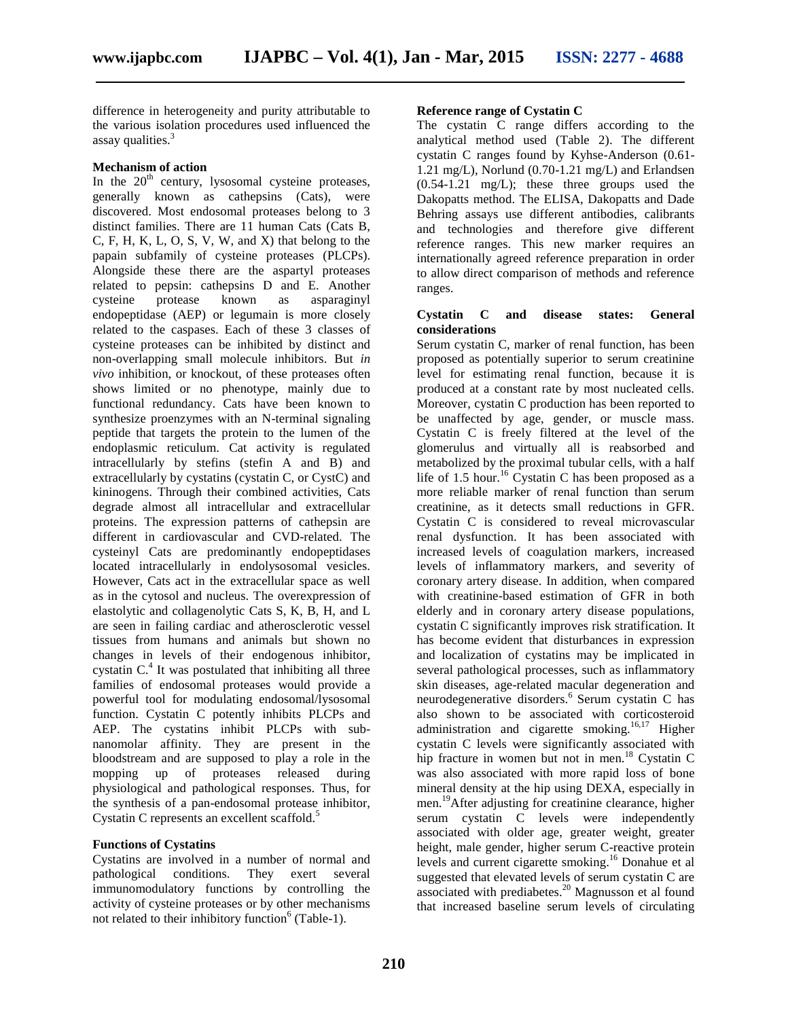difference in heterogeneity and purity attributable to the various isolation procedures used influenced the assay qualities.<sup>3</sup>

#### **Mechanism of action**

In the  $20<sup>th</sup>$  century, lysosomal cysteine proteases, generally known as cathepsins (Cats), were discovered. Most endosomal proteases belong to 3 distinct families. There are 11 human Cats (Cats B, C, F, H, K, L, O, S, V, W, and X) that belong to the papain subfamily of cysteine proteases (PLCPs). Alongside these there are the aspartyl proteases related to pepsin: cathepsins D and E. Another cysteine protease known as asparaginyl endopeptidase (AEP) or legumain is more closely related to the caspases. Each of these 3 classes of cysteine proteases can be inhibited by distinct and non-overlapping small molecule inhibitors. But *in vivo* inhibition, or knockout, of these proteases often shows limited or no phenotype, mainly due to functional redundancy. Cats have been known to synthesize proenzymes with an N-terminal signaling peptide that targets the protein to the lumen of the endoplasmic reticulum. Cat activity is regulated intracellularly by stefins (stefin A and B) and extracellularly by cystatins (cystatin C, or CystC) and kininogens. Through their combined activities, Cats degrade almost all intracellular and extracellular proteins. The expression patterns of cathepsin are different in cardiovascular and CVD-related. The cysteinyl Cats are predominantly endopeptidases located intracellularly in endolysosomal vesicles. However, Cats act in the extracellular space as well as in the cytosol and nucleus. The overexpression of elastolytic and collagenolytic Cats S, K, B, H, and L are seen in failing cardiac and atherosclerotic vessel tissues from humans and animals but shown no changes in levels of their endogenous inhibitor, cystatin  $C<sup>4</sup>$  It was postulated that inhibiting all three families of endosomal proteases would provide a powerful tool for modulating endosomal/lysosomal function. Cystatin C potently inhibits PLCPs and AEP. The cystatins inhibit PLCPs with sub nanomolar affinity. They are present in the bloodstream and are supposed to play a role in the mopping up of proteases released during physiological and pathological responses. Thus, for the synthesis of a pan-endosomal protease inhibitor, Cystatin C represents an excellent scaffold.<sup>5</sup>

# **Functions of Cystatins**

Cystatins are involved in a number of normal and pathological conditions. They exert several immunomodulatory functions by controlling the activity of cysteine proteases or by other mechanisms not related to their inhibitory function<sup>6</sup> (Table-1).

## **Reference range of Cystatin C**

The cystatin C range differs according to the analytical method used (Table 2). The different cystatin C ranges found by Kyhse-Anderson (0.61- 1.21 mg/L), Norlund (0.70-1.21 mg/L) and Erlandsen (0.54-1.21 mg/L); these three groups used the Dakopatts method. The ELISA, Dakopatts and Dade Behring assays use different antibodies, calibrants and technologies and therefore give different reference ranges. This new marker requires an internationally agreed reference preparation in order to allow direct comparison of methods and reference ranges.

#### **Cystatin C and disease states: General considerations**

Serum cystatin C, marker of renal function, has been proposed as potentially superior to serum creatinine level for estimating renal function, because it is produced at a constant rate by most nucleated cells. Moreover, cystatin C production has been reported to be unaffected by age, gender, or muscle mass. Cystatin C is freely filtered at the level of the glomerulus and virtually all is reabsorbed and metabolized by the proximal tubular cells, with a half life of 1.5 hour.<sup>16</sup> Cystatin C has been proposed as a more reliable marker of renal function than serum creatinine, as it detects small reductions in GFR. Cystatin C is considered to reveal microvascular renal dysfunction. It has been associated with increased levels of coagulation markers, increased levels of inflammatory markers, and severity of coronary artery disease. In addition, when compared with creatinine-based estimation of GFR in both elderly and in coronary artery disease populations, cystatin C significantly improves risk stratification. It has become evident that disturbances in expression and localization of cystatins may be implicated in several pathological processes, such as inflammatory skin diseases, age-related macular degeneration and neurodegenerative disorders.<sup>6</sup> Serum cystatin C has also shown to be associated with corticosteroid administration and cigarette smoking.<sup>16,17</sup> Higher cystatin C levels were significantly associated with hip fracture in women but not in men.<sup>18</sup> Cystatin C was also associated with more rapid loss of bone mineral density at the hip using DEXA, especially in men.<sup>19</sup>After adjusting for creatinine clearance, higher serum cystatin C levels were independently associated with older age, greater weight, greater height, male gender, higher serum C-reactive protein levels and current cigarette smoking.<sup>16</sup> Donahue et al suggested that elevated levels of serum cystatin C are associated with prediabetes.<sup>20</sup> Magnusson et al found that increased baseline serum levels of circulating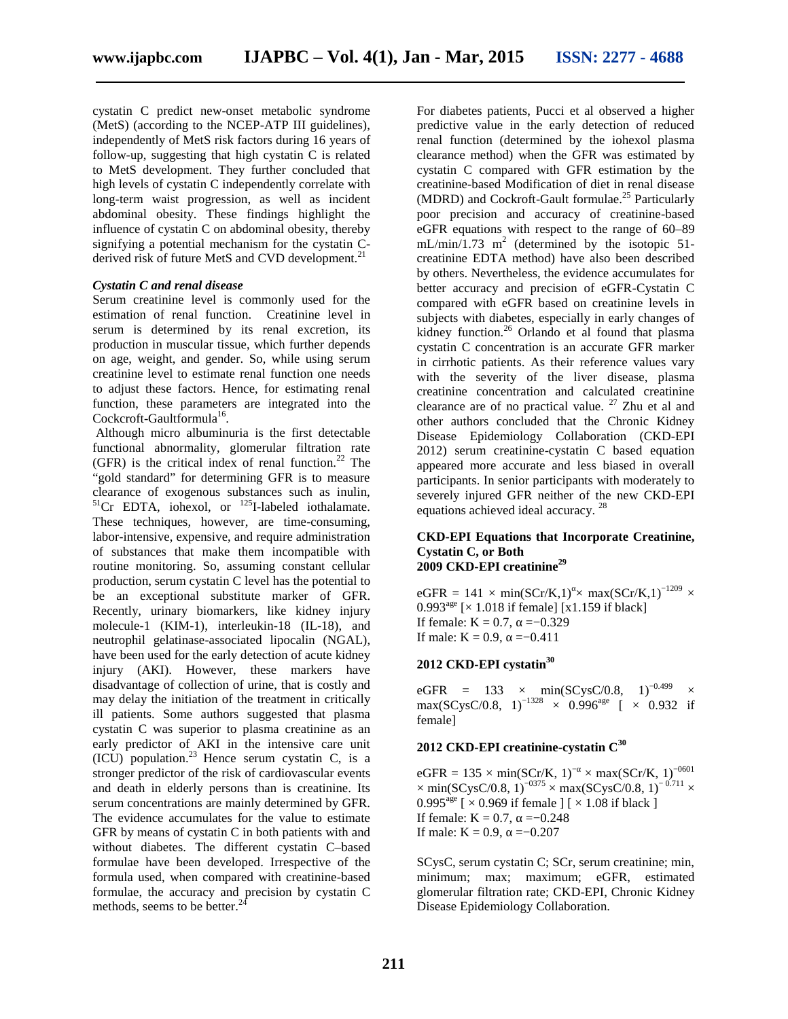cystatin C predict new-onset metabolic syndrome (MetS) (according to the NCEP-ATP III guidelines), independently of MetS risk factors during 16 years of follow-up, suggesting that high cystatin C is related to MetS development. They further concluded that high levels of cystatin C independently correlate with long-term waist progression, as well as incident abdominal obesity. These findings highlight the influence of cystatin C on abdominal obesity, thereby signifying a potential mechanism for the cystatin C derived risk of future MetS and CVD development.<sup>21</sup>

#### *Cystatin C and renal disease*

Serum creatinine level is commonly used for the estimation of renal function. Creatinine level in serum is determined by its renal excretion, its production in muscular tissue, which further depends on age, weight, and gender. So, while using serum creatinine level to estimate renal function one needs to adjust these factors. Hence, for estimating renal function, these parameters are integrated into the Cockcroft-Gaultformula<sup>16</sup>.

Although micro albuminuria is the first detectable functional abnormality, glomerular filtration rate (GFR) is the critical index of renal function.<sup>22</sup> The "gold standard" for determining GFR is to measure clearance of exogenous substances such as inulin, clearance of exogenous substances such as inulin,<br><sup>51</sup>Cr EDTA, iohexol, or <sup>125</sup>I-labeled iothalamate. These techniques, however, are time-consuming, labor-intensive, expensive, and require administration of substances that make them incompatible with routine monitoring. So, assuming constant cellular production, serum cystatin C level has the potential to be an exceptional substitute marker of GFR. Recently, urinary biomarkers, like kidney injury molecule-1 (KIM-1), interleukin-18 (IL-18), and neutrophil gelatinase-associated lipocalin (NGAL), have been used for the early detection of acute kidney injury (AKI). However, these markers have disadvantage of collection of urine, that is costly and may delay the initiation of the treatment in critically ill patients. Some authors suggested that plasma cystatin C was superior to plasma creatinine as an early predictor of AKI in the intensive care unit  $\overrightarrow{[ICU]}$  population.<sup>23</sup> Hence serum cystatin C, is a stronger predictor of the risk of cardiovascular events and death in elderly persons than is creatinine. Its serum concentrations are mainly determined by GFR. The evidence accumulates for the value to estimate GFR by means of cystatin C in both patients with and without diabetes. The different cystatin C–based formulae have been developed. Irrespective of the formula used, when compared with creatinine-based formulae, the accuracy and precision by cystatin C methods, seems to be better. $<sup>2</sup>$ </sup>

For diabetes patients, Pucci et al observed a higher predictive value in the early detection of reduced renal function (determined by the iohexol plasma clearance method) when the GFR was estimated by cystatin C compared with GFR estimation by the creatinine-based Modification of diet in renal disease (MDRD) and Cockroft-Gault formulae.<sup>25</sup> Particularly poor precision and accuracy of creatinine-based eGFR equations with respect to the range of 60–89  $mL/min/1.73$  m<sup>2</sup> (determined by the isotopic 51creatinine EDTA method) have also been described by others. Nevertheless, the evidence accumulates for better accuracy and precision of eGFR-Cystatin C compared with eGFR based on creatinine levels in subjects with diabetes, especially in early changes of kidney function.<sup>26</sup> Orlando et al found that plasma cystatin C concentration is an accurate GFR marker in cirrhotic patients. As their reference values vary with the severity of the liver disease, plasma creatinine concentration and calculated creatinine clearance are of no practical value.  $27$  Zhu et al and other authors concluded that the Chronic Kidney Disease Epidemiology Collaboration (CKD-EPI 2012) serum creatinine-cystatin C based equation appeared more accurate and less biased in overall participants. In senior participants with moderately to severely injured GFR neither of the new CKD-EPI equations achieved ideal accuracy.<sup>28</sup>

# **CKD-EPI Equations that Incorporate Creatinine, Cystatin C, or Both 2009 CKD-EPI creatinine<sup>29</sup>**

eGFR = 141 × min(SCr/K,1) × max(SCr/K,1)<sup>-1209</sup> × 0.993<sup>age</sup> [ $\times$  1.018 if female] [x1.159 if black] If female:  $K = 0.7$ ,  $= -0.329$ If male:  $K = 0.9$ ,  $= -0.411$ 

# **2012 CKD-EPI cystatin<sup>30</sup>**

eGFR = 133 × min(SCysC/0.8, 1)<sup>-0.499</sup> × max(SCysC/0.8, 1)<sup>-1328</sup> × 0.996<sup>age</sup> [ × 0.932 if female]

# **2012 CKD-EPI creatinine-cystatin C<sup>30</sup>**

 $eGFR = 135 \times min(SCr/K, 1)^{-} \times max(SCr/K, 1)^{-0601}$  $\times$  min(SCysC/0.8, 1)<sup>-0375</sup> × max(SCysC/0.8, 1)<sup>-0.711</sup> × 0.995<sup>age</sup> [ $\times$  0.969 if female ] [ $\times$  1.08 if black ] If female:  $K = 0.7$ ,  $= -0.248$ If male:  $K = 0.9$ ,  $= -0.207$ 

SCysC, serum cystatin C; SCr, serum creatinine; min, minimum; max; maximum; eGFR, estimated glomerular filtration rate; CKD-EPI, Chronic Kidney Disease Epidemiology Collaboration.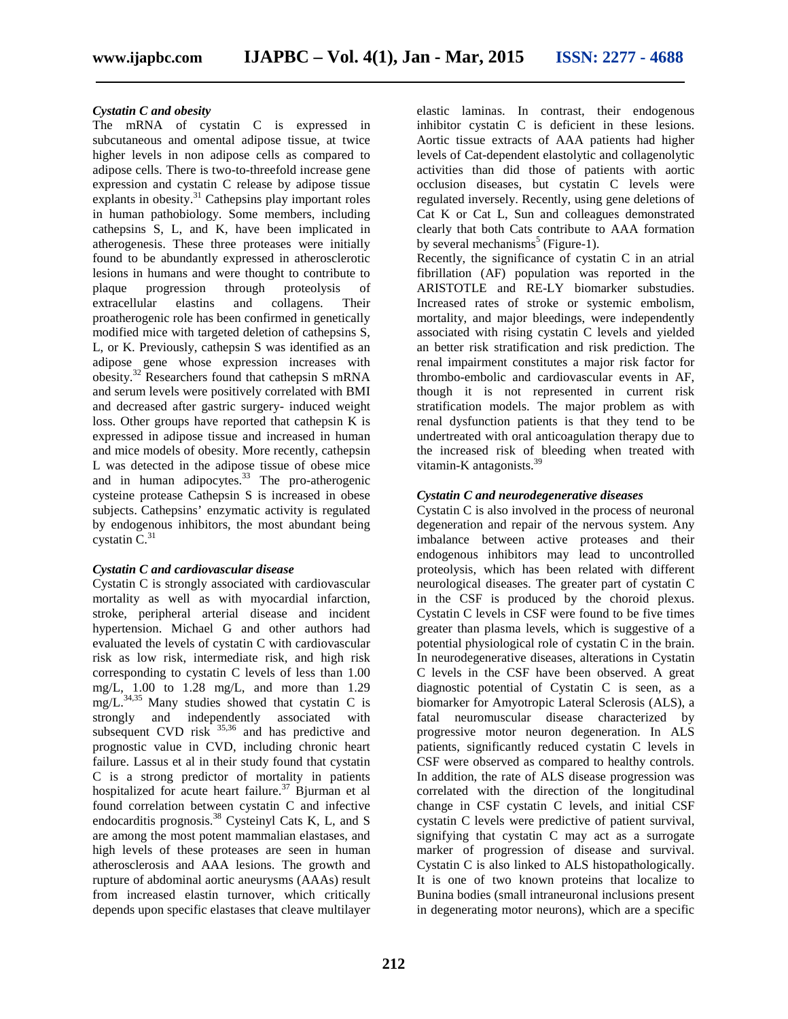#### *Cystatin C and obesity*

The mRNA of cystatin C is expressed in subcutaneous and omental adipose tissue, at twice higher levels in non adipose cells as compared to adipose cells. There is two-to-threefold increase gene expression and cystatin C release by adipose tissue explants in obesity. $31$  Cathepsins play important roles in human pathobiology. Some members, including cathepsins S, L, and K, have been implicated in atherogenesis. These three proteases were initially found to be abundantly expressed in atherosclerotic lesions in humans and were thought to contribute to plaque progression through proteolysis of extracellular elastins and collagens. Their proatherogenic role has been confirmed in genetically modified mice with targeted deletion of cathepsins S, L, or K. Previously, cathepsin S was identified as an adipose gene whose expression increases with obesity.<sup>32</sup> Researchers found that cathepsin S mRNA thro and serum levels were positively correlated with BMI and decreased after gastric surgery- induced weight loss. Other groups have reported that cathepsin K is expressed in adipose tissue and increased in human and mice models of obesity. More recently, cathepsin L was detected in the adipose tissue of obese mice and in human adipocytes.<sup>33</sup> The pro-atherogenic cysteine protease Cathepsin S is increased in obese subjects. Cathepsins' enzymatic activity is regulated by endogenous inhibitors, the most abundant being cystatin  $\rm \bar{C}^{31}$ 

# *Cystatin C and cardiovascular disease*

Cystatin C is strongly associated with cardiovascular mortality as well as with myocardial infarction, stroke, peripheral arterial disease and incident hypertension. Michael G and other authors had evaluated the levels of cystatin C with cardiovascular risk as low risk, intermediate risk, and high risk corresponding to cystatin C levels of less than 1.00 mg/L, 1.00 to 1.28 mg/L, and more than 1.29  $mg/L$ .<sup>34,35</sup> Many studies showed that cystatin C is strongly and independently associated with subsequent CVD risk  $35,36$  and has predictive and prognostic value in CVD, including chronic heart failure. Lassus et al in their study found that cystatin C is a strong predictor of mortality in patients hospitalized for acute heart failure.<sup>37</sup> Bjurman et al found correlation between cystatin C and infective endocarditis prognosis.<sup>38</sup> Cysteinyl Cats K, L, and S are among the most potent mammalian elastases, and high levels of these proteases are seen in human atherosclerosis and AAA lesions. The growth and rupture of abdominal aortic aneurysms (AAAs) result from increased elastin turnover, which critically depends upon specific elastases that cleave multilayer

elastic laminas. In contrast, their endogenous inhibitor cystatin C is deficient in these lesions. Aortic tissue extracts of AAA patients had higher levels of Cat-dependent elastolytic and collagenolytic activities than did those of patients with aortic occlusion diseases, but cystatin C levels were regulated inversely. Recently, using gene deletions of Cat K or Cat L, Sun and colleagues demonstrated clearly that both Cats contribute to AAA formation by several mechanisms<sup>5</sup> (Figure-1).

Recently, the significance of cystatin C in an atrial fibrillation (AF) population was reported in the ARISTOTLE and RE-LY biomarker substudies. Increased rates of stroke or systemic embolism, mortality, and major bleedings, were independently associated with rising cystatin C levels and yielded an better risk stratification and risk prediction. The renal impairment constitutes a major risk factor for thrombo-embolic and cardiovascular events in AF, though it is not represented in current risk stratification models. The major problem as with renal dysfunction patients is that they tend to be undertreated with oral anticoagulation therapy due to the increased risk of bleeding when treated with vitamin-K antagonists. $39$ 

## *Cystatin C and neurodegenerative diseases*

Cystatin C is also involved in the process of neuronal degeneration and repair of the nervous system. Any imbalance between active proteases and their endogenous inhibitors may lead to uncontrolled proteolysis, which has been related with different neurological diseases. The greater part of cystatin C in the CSF is produced by the choroid plexus. Cystatin C levels in CSF were found to be five times greater than plasma levels, which is suggestive of a potential physiological role of cystatin C in the brain. In neurodegenerative diseases, alterations in Cystatin C levels in the CSF have been observed. A great diagnostic potential of Cystatin C is seen, as a biomarker for Amyotropic Lateral Sclerosis (ALS), a fatal neuromuscular disease characterized by progressive motor neuron degeneration. In ALS patients, significantly reduced cystatin C levels in CSF were observed as compared to healthy controls. In addition, the rate of ALS disease progression was correlated with the direction of the longitudinal change in CSF cystatin C levels, and initial CSF cystatin C levels were predictive of patient survival, signifying that cystatin C may act as a surrogate marker of progression of disease and survival. Cystatin C is also linked to ALS histopathologically. It is one of two known proteins that localize to Bunina bodies (small intraneuronal inclusions present in degenerating motor neurons), which are a specific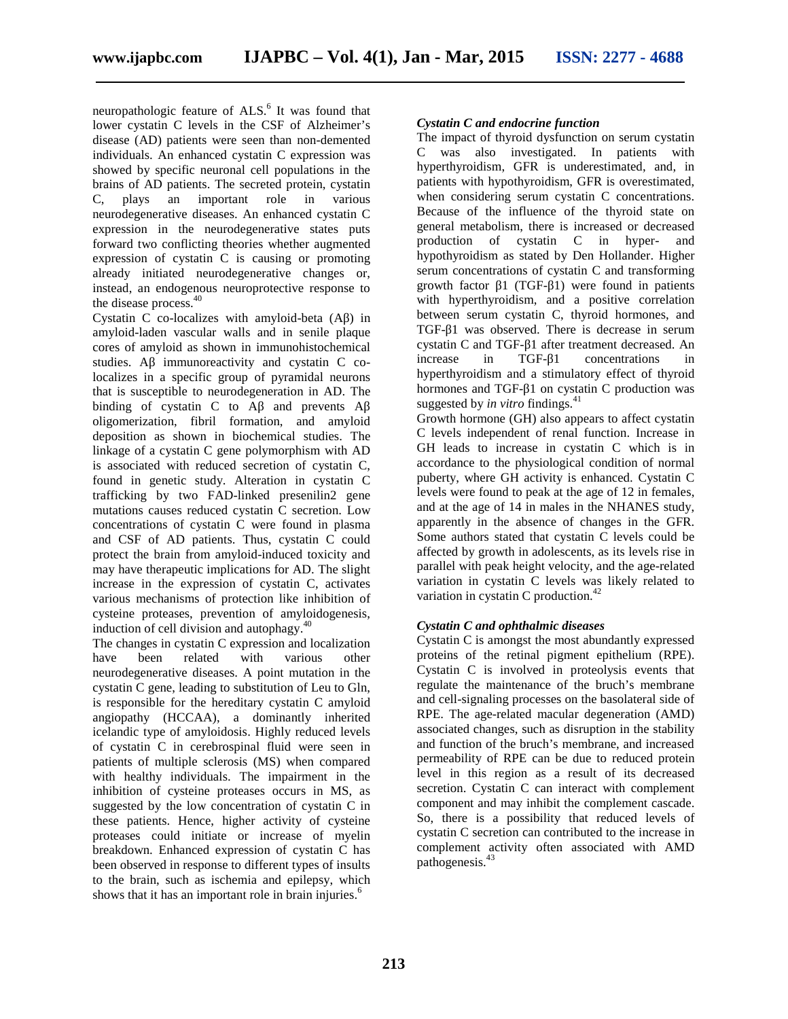neuropathologic feature of ALS.<sup>6</sup> It was found that lower cystatin C levels in the CSF of Alzheimer's disease (AD) patients were seen than non-demented individuals. An enhanced cystatin C expression was showed by specific neuronal cell populations in the brains of AD patients. The secreted protein, cystatin C, plays an important role in various neurodegenerative diseases. An enhanced cystatin C expression in the neurodegenerative states puts forward two conflicting theories whether augmented expression of cystatin C is causing or promoting already initiated neurodegenerative changes or, instead, an endogenous neuroprotective response to the disease process.<sup>40</sup>

Cystatin C co-localizes with amyloid-beta  $(A)$  in amyloid-laden vascular walls and in senile plaque cores of amyloid as shown in immunohistochemical studies. A immunoreactivity and cystatin C colocalizes in a specific group of pyramidal neurons that is susceptible to neurodegeneration in AD. The binding of cystatin C to A and prevents A oligomerization, fibril formation, and amyloid deposition as shown in biochemical studies. The linkage of a cystatin C gene polymorphism with AD is associated with reduced secretion of cystatin C, found in genetic study. Alteration in cystatin C trafficking by two FAD-linked presenilin2 gene mutations causes reduced cystatin C secretion. Low concentrations of cystatin C were found in plasma and CSF of AD patients. Thus, cystatin C could protect the brain from amyloid-induced toxicity and may have therapeutic implications for AD. The slight increase in the expression of cystatin C, activates various mechanisms of protection like inhibition of cysteine proteases, prevention of amyloidogenesis, induction of cell division and autophagy. $40$ 

The changes in cystatin C expression and localization have been related with various other neurodegenerative diseases. A point mutation in the cystatin C gene, leading to substitution of Leu to Gln, is responsible for the hereditary cystatin C amyloid angiopathy (HCCAA), a dominantly inherited icelandic type of amyloidosis. Highly reduced levels of cystatin C in cerebrospinal fluid were seen in patients of multiple sclerosis (MS) when compared with healthy individuals. The impairment in the inhibition of cysteine proteases occurs in MS, as suggested by the low concentration of cystatin C in these patients. Hence, higher activity of cysteine proteases could initiate or increase of myelin breakdown. Enhanced expression of cystatin C has been observed in response to different types of insults to the brain, such as ischemia and epilepsy, which shows that it has an important role in brain injuries.<sup>6</sup>

#### *Cystatin C and endocrine function*

The impact of thyroid dysfunction on serum cystatin C was also investigated. In patients with hyperthyroidism, GFR is underestimated, and, in patients with hypothyroidism, GFR is overestimated, when considering serum cystatin C concentrations. Because of the influence of the thyroid state on general metabolism, there is increased or decreased production of cystatin C in hyper- and hypothyroidism as stated by Den Hollander. Higher serum concentrations of cystatin C and transforming growth factor  $1$  (TGF- 1) were found in patients with hyperthyroidism, and a positive correlation between serum cystatin C, thyroid hormones, and TGF- 1 was observed. There is decrease in serum cystatin C and TGF- 1 after treatment decreased. An increase in TGF- 1 concentrations in hyperthyroidism and a stimulatory effect of thyroid hormones and TGF- 1 on cystatin C production was suggested by *in vitro* findings.<sup>41</sup>

Growth hormone (GH) also appears to affect cystatin C levels independent of renal function. Increase in GH leads to increase in cystatin C which is in accordance to the physiological condition of normal puberty, where GH activity is enhanced. Cystatin C levels were found to peak at the age of 12 in females, and at the age of 14 in males in the NHANES study, apparently in the absence of changes in the GFR. Some authors stated that cystatin C levels could be affected by growth in adolescents, as its levels rise in parallel with peak height velocity, and the age-related variation in cystatin C levels was likely related to variation in cystatin C production. $42$ 

### *Cystatin C and ophthalmic diseases*

Cystatin C is amongst the most abundantly expressed proteins of the retinal pigment epithelium (RPE). Cystatin C is involved in proteolysis events that regulate the maintenance of the bruch's membrane and cell-signaling processes on the basolateral side of RPE. The age-related macular degeneration (AMD) associated changes, such as disruption in the stability and function of the bruch's membrane, and increased permeability of RPE can be due to reduced protein level in this region as a result of its decreased secretion. Cystatin C can interact with complement component and may inhibit the complement cascade. So, there is a possibility that reduced levels of cystatin C secretion can contributed to the increase in complement activity often associated with AMD pathogenesis.<sup>43</sup>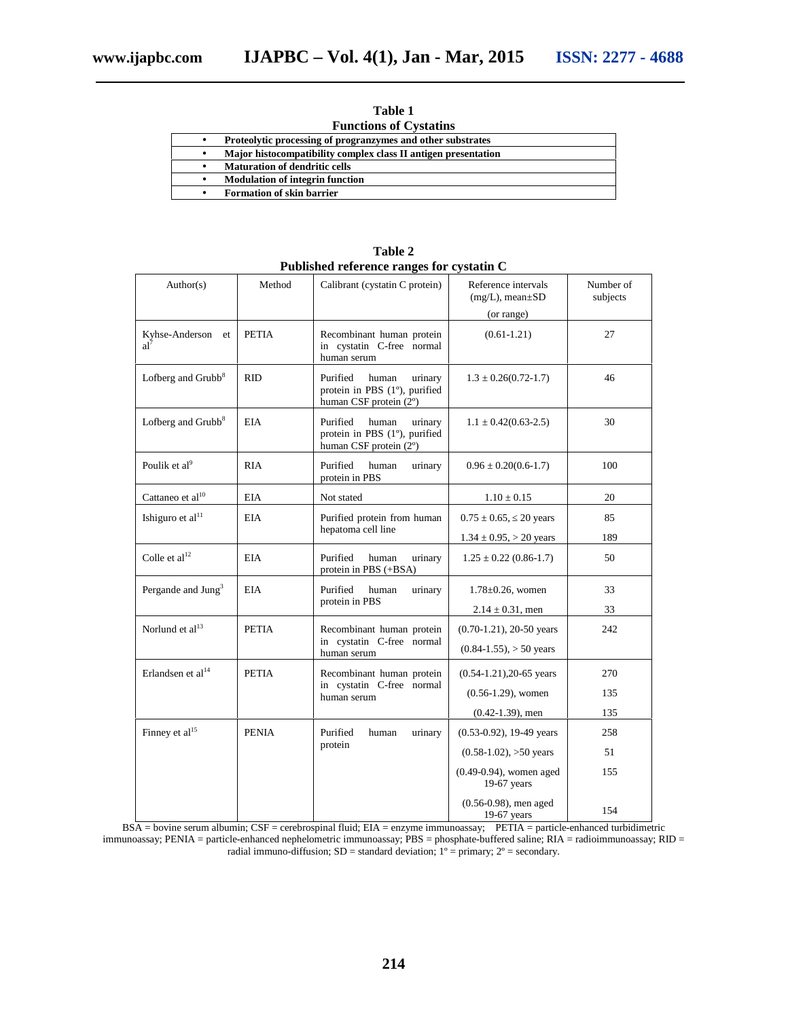| Table 1 |
|---------|
| $\sim$  |

| <b>Functions of Cystatins</b> |  |
|-------------------------------|--|
|-------------------------------|--|

| Proteolytic processing of progranzymes and other substrates    |
|----------------------------------------------------------------|
| Major histocompatibility complex class II antigen presentation |
| <b>Maturation of dendritic cells</b>                           |
| <b>Modulation of integrin function</b>                         |
| <b>Formation of skin barrier</b>                               |

| Author(s)                      | Method       | Calibrant (cystatin C protein)                                                          | Reference intervals<br>$(mg/L)$ , mean $\pm SD$ | Number of<br>subjects |
|--------------------------------|--------------|-----------------------------------------------------------------------------------------|-------------------------------------------------|-----------------------|
|                                |              |                                                                                         | (or range)                                      |                       |
| Kyhse-Anderson<br>et<br>$al^7$ | <b>PETIA</b> | Recombinant human protein<br>in cystatin C-free normal<br>human serum                   | $(0.61 - 1.21)$                                 | 27                    |
| Lofberg and Grubb <sup>8</sup> | <b>RID</b>   | Purified<br>human<br>urinary<br>protein in PBS (1°), purified<br>human CSF protein (2°) | $1.3 \pm 0.26(0.72 - 1.7)$                      | 46                    |
| Lofberg and Grubb <sup>8</sup> | <b>EIA</b>   | Purified<br>human<br>urinary<br>protein in PBS (1°), purified<br>human CSF protein (2°) | $1.1 \pm 0.42(0.63 - 2.5)$                      | 30                    |
| Poulik et al <sup>9</sup>      | <b>RIA</b>   | Purified<br>human<br>urinary<br>protein in PBS                                          | $0.96 \pm 0.20(0.6-1.7)$                        | 100                   |
| Cattaneo et al <sup>10</sup>   | <b>EIA</b>   | Not stated                                                                              | $1.10 \pm 0.15$                                 | 20                    |
| Ishiguro et al <sup>11</sup>   | <b>EIA</b>   | Purified protein from human<br>hepatoma cell line                                       | $0.75 \pm 0.65$ , 20 years                      | 85                    |
|                                |              |                                                                                         | $1.34 \pm 0.95$ , $> 20$ years                  | 189                   |
| Colle et al <sup>12</sup>      | <b>EIA</b>   | Purified<br>urinary<br>human<br>protein in PBS (+BSA)                                   | $1.25 \pm 0.22$ (0.86-1.7)                      | 50                    |
| Pergande and Jung <sup>3</sup> | <b>EIA</b>   | Purified<br>human<br>urinary<br>protein in PBS                                          | $1.78 \pm 0.26$ , women                         | 33                    |
|                                |              |                                                                                         | $2.14 \pm 0.31$ , men                           | 33                    |
| Norlund et al <sup>13</sup>    | <b>PETIA</b> | Recombinant human protein                                                               | $(0.70-1.21)$ , 20-50 years                     | 242                   |
|                                |              | in cystatin C-free normal<br>human serum                                                | $(0.84-1.55)$ , $> 50$ years                    |                       |
| Erlandsen et al <sup>14</sup>  | <b>PETIA</b> | Recombinant human protein<br>in cystatin C-free normal<br>human serum                   | $(0.54-1.21)$ , 20-65 years                     | 270                   |
|                                |              |                                                                                         | $(0.56-1.29)$ , women                           | 135                   |
|                                |              |                                                                                         | $(0.42-1.39)$ , men                             | 135                   |
| Finney et al <sup>15</sup>     | <b>PENIA</b> | Purified<br>urinary<br>human<br>protein                                                 | $(0.53-0.92)$ , 19-49 years                     | 258                   |
|                                |              |                                                                                         | $(0.58-1.02)$ , >50 years                       | 51                    |
|                                |              |                                                                                         | $(0.49 - 0.94)$ , women aged<br>$19-67$ years   | 155                   |
|                                |              |                                                                                         | $(0.56 - 0.98)$ , men aged<br>$19-67$ years     | 154                   |

**Table 2 Published reference ranges for cystatin C**

BSA = bovine serum albumin; CSF = cerebrospinal fluid; EIA = enzyme immunoassay; PETIA = particle-enhanced turbidimetric immunoassay; PENIA = particle-enhanced nephelometric immunoassay; PBS = phosphate-buffered saline; RIA = radioimmunoassay; RID = radial immuno-diffusion;  $SD =$  standard deviation;  $1^{\circ} =$  primary;  $2^{\circ} =$  secondary.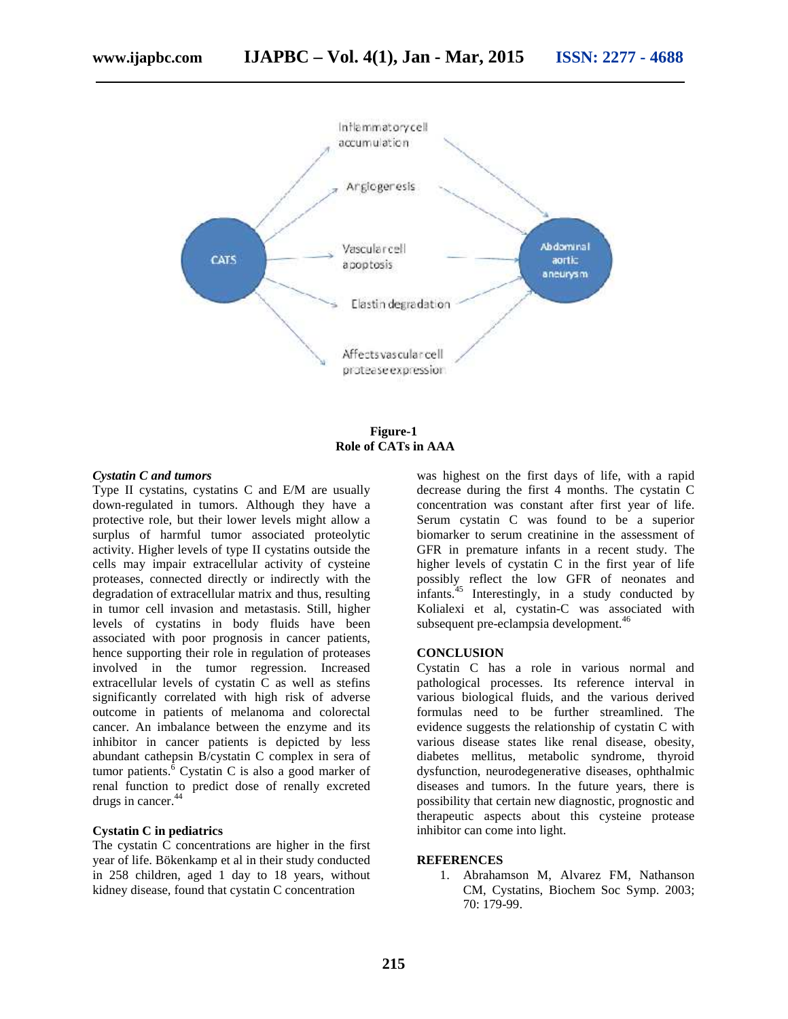

**Figure-1 Role of CATs in AAA**

#### *Cystatin C and tumors*

Type II cystatins, cystatins C and E/M are usually down-regulated in tumors. Although they have a protective role, but their lower levels might allow a surplus of harmful tumor associated proteolytic activity. Higher levels of type II cystatins outside the cells may impair extracellular activity of cysteine proteases, connected directly or indirectly with the degradation of extracellular matrix and thus, resulting in tumor cell invasion and metastasis. Still, higher levels of cystatins in body fluids have been associated with poor prognosis in cancer patients, hence supporting their role in regulation of proteases involved in the tumor regression. Increased extracellular levels of cystatin C as well as stefins significantly correlated with high risk of adverse outcome in patients of melanoma and colorectal cancer. An imbalance between the enzyme and its inhibitor in cancer patients is depicted by less abundant cathepsin B/cystatin C complex in sera of tumor patients. $\frac{6}{6}$  Cystatin C is also a good marker of renal function to predict dose of renally excreted drugs in cancer.<sup>44</sup>

### **Cystatin C in pediatrics**

The cystatin C concentrations are higher in the first year of life. Bökenkamp et al in their study conducted in 258 children, aged 1 day to 18 years, without kidney disease, found that cystatin C concentration

was highest on the first days of life, with a rapid decrease during the first 4 months. The cystatin C concentration was constant after first year of life. Serum cystatin C was found to be a superior biomarker to serum creatinine in the assessment of GFR in premature infants in a recent study. The higher levels of cystatin C in the first year of life possibly reflect the low GFR of neonates and infants. $45$  Interestingly, in a study conducted by Kolialexi et al, cystatin-C was associated with subsequent pre-eclampsia development.<sup>46</sup>

#### **CONCLUSION**

Cystatin C has a role in various normal and pathological processes. Its reference interval in various biological fluids, and the various derived formulas need to be further streamlined. The evidence suggests the relationship of cystatin C with various disease states like renal disease, obesity, diabetes mellitus, metabolic syndrome, thyroid dysfunction, neurodegenerative diseases, ophthalmic diseases and tumors. In the future years, there is possibility that certain new diagnostic, prognostic and therapeutic aspects about this cysteine protease inhibitor can come into light.

#### **REFERENCES**

1. Abrahamson M, Alvarez FM, Nathanson CM, Cystatins, Biochem Soc Symp. 2003; 70: 179-99.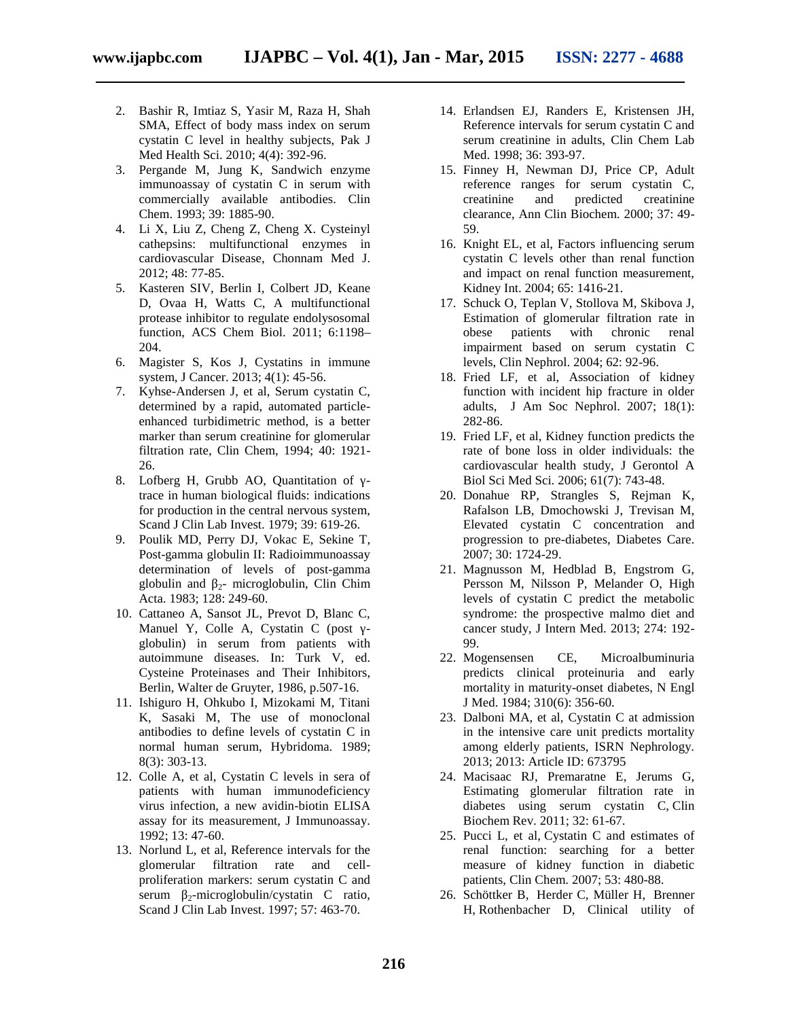- 2. Bashir R, Imtiaz S, Yasir M, Raza H, Shah SMA, Effect of body mass index on serum cystatin C level in healthy subjects, Pak J Med Health Sci. 2010; 4(4): 392-96.
- 3. Pergande M, Jung K, Sandwich enzyme immunoassay of cystatin C in serum with commercially available antibodies. Clin Chem. 1993; 39: 1885-90.
- 4. Li X, Liu Z, Cheng Z, Cheng X. Cysteinyl cathepsins: multifunctional enzymes in cardiovascular Disease, Chonnam Med J. 2012; 48: 77-85.
- 5. Kasteren SIV, Berlin I, Colbert JD, Keane D, Ovaa H, Watts C, A multifunctional protease inhibitor to regulate endolysosomal function, ACS Chem Biol. 2011; 6:1198– 204.
- 6. Magister S, Kos J, Cystatins in immune system, J Cancer. 2013; 4(1): 45-56.
- 7. Kyhse-Andersen J, et al, Serum cystatin C, determined by a rapid, automated particle enhanced turbidimetric method, is a better marker than serum creatinine for glomerular filtration rate, Clin Chem, 1994; 40: 1921- 26.
- 8. Lofberg H, Grubb AO, Quantitation of trace in human biological fluids: indications for production in the central nervous system, Scand J Clin Lab Invest. 1979; 39: 619-26.
- 9. Poulik MD, Perry DJ, Vokac E, Sekine T, Post-gamma globulin II: Radioimmunoassay determination of levels of post-gamma globulin and  $2-$  microglobulin, Clin Chim Acta. 1983; 128: 249-60.
- 10. Cattaneo A, Sansot JL, Prevot D, Blanc C, Manuel Y, Colle A, Cystatin C (post globulin) in serum from patients with autoimmune diseases. In: Turk V, ed. Cysteine Proteinases and Their Inhibitors, Berlin, Walter de Gruyter, 1986, p.507-16.
- 11. Ishiguro H, Ohkubo I, Mizokami M, Titani K, Sasaki M, The use of monoclonal antibodies to define levels of cystatin C in normal human serum, Hybridoma. 1989; 8(3): 303-13.
- 12. Colle A, et al, Cystatin C levels in sera of patients with human immunodeficiency virus infection, a new avidin-biotin ELISA assay for its measurement, J Immunoassay. 1992; 13: 47-60.
- 13. Norlund L, et al, Reference intervals for the glomerular filtration rate and cell proliferation markers: serum cystatin C and serum  $2$ -microglobulin/cystatin C ratio, Scand J Clin Lab Invest. 1997; 57: 463-70.
- 14. Erlandsen EJ, Randers E, Kristensen JH, Reference intervals for serum cystatin C and serum creatinine in adults, Clin Chem Lab Med. 1998; 36: 393-97.
- 15. Finney H, Newman DJ, Price CP, Adult reference ranges for serum cystatin C, creatinine and predicted creatinine clearance, Ann Clin Biochem. 2000; 37: 49- 59.
- 16. Knight EL, et al, Factors influencing serum cystatin C levels other than renal function and impact on renal function measurement, Kidney Int. 2004; 65: 1416-21.
- 17. Schuck O, Teplan V, Stollova M, Skibova J, Estimation of glomerular filtration rate in obese patients with chronic renal impairment based on serum cystatin C levels, Clin Nephrol. 2004; 62: 92-96.
- 18. Fried LF, et al, Association of kidney function with incident hip fracture in older adults, J Am Soc Nephrol. 2007; 18(1): 282-86.
- 19. Fried LF, et al, Kidney function predicts the rate of bone loss in older individuals: the cardiovascular health study, J Gerontol A Biol Sci Med Sci. 2006; 61(7): 743-48.
- 20. Donahue RP, Strangles S, Rejman K, Rafalson LB, Dmochowski J, Trevisan M, Elevated cystatin C concentration and progression to pre-diabetes, Diabetes Care. 2007; 30: 1724-29.
- 21. Magnusson M, Hedblad B, Engstrom G, Persson M, Nilsson P, Melander O, High levels of cystatin C predict the metabolic syndrome: the prospective malmo diet and cancer study, J Intern Med. 2013; 274: 192- 99.
- 22. Mogensensen CE, Microalbuminuria predicts clinical proteinuria and early mortality in maturity-onset diabetes, N Engl J Med. 1984; 310(6): 356-60.
- 23. Dalboni MA, et al, Cystatin C at admission in the intensive care unit predicts mortality among elderly patients, ISRN Nephrology. 2013; 2013: Article ID: 673795
- 24. Macisaac RJ, Premaratne E, Jerums G, Estimating glomerular filtration rate in diabetes using serum cystatin C, Clin Biochem Rev. 2011; 32: 61-67.
- 25. Pucci L, et al, Cystatin C and estimates of renal function: searching for a better measure of kidney function in diabetic patients, Clin Chem. 2007; 53: 480-88.
- 26. Schöttker B, Herder C, Müller H, Brenner H, Rothenbacher D, Clinical utility of